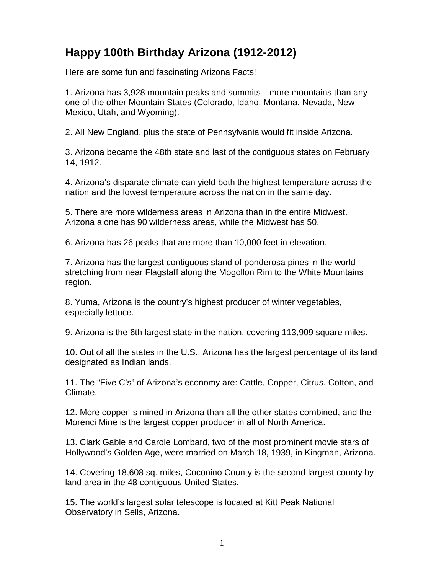## **Happy 100th Birthday Arizona (1912-2012)**

Here are some fun and fascinating Arizona Facts!

1. Arizona has 3,928 mountain peaks and summits—more mountains than any one of the other Mountain States (Colorado, Idaho, Montana, Nevada, New Mexico, Utah, and Wyoming).

2. All New England, plus the state of Pennsylvania would fit inside Arizona.

3. Arizona became the 48th state and last of the contiguous states on February 14, 1912.

4. Arizona's disparate climate can yield both the highest temperature across the nation and the lowest temperature across the nation in the same day.

5. There are more wilderness areas in Arizona than in the entire Midwest. Arizona alone has 90 wilderness areas, while the Midwest has 50.

6. Arizona has 26 peaks that are more than 10,000 feet in elevation.

7. Arizona has the largest contiguous stand of ponderosa pines in the world stretching from near Flagstaff along the Mogollon Rim to the White Mountains region.

8. Yuma, Arizona is the country's highest producer of winter vegetables, especially lettuce.

9. Arizona is the 6th largest state in the nation, covering 113,909 square miles.

10. Out of all the states in the U.S., Arizona has the largest percentage of its land designated as Indian lands.

11. The "Five C's" of Arizona's economy are: Cattle, Copper, Citrus, Cotton, and Climate.

12. More copper is mined in Arizona than all the other states combined, and the Morenci Mine is the largest copper producer in all of North America.

13. Clark Gable and Carole Lombard, two of the most prominent movie stars of Hollywood's Golden Age, were married on March 18, 1939, in Kingman, Arizona.

14. Covering 18,608 sq. miles, Coconino County is the second largest county by land area in the 48 contiguous United States.

15. The world's largest solar telescope is located at Kitt Peak National Observatory in Sells, Arizona.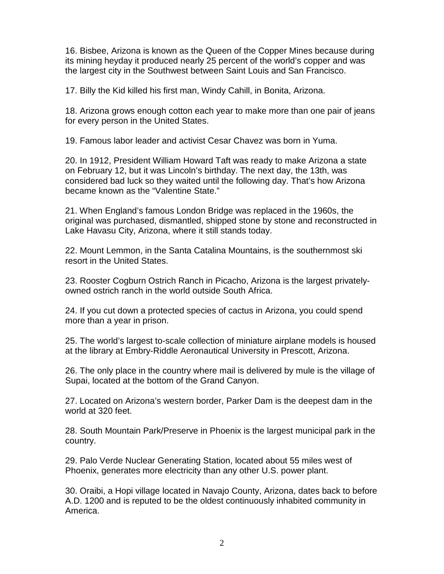16. Bisbee, Arizona is known as the Queen of the Copper Mines because during its mining heyday it produced nearly 25 percent of the world's copper and was the largest city in the Southwest between Saint Louis and San Francisco.

17. Billy the Kid killed his first man, Windy Cahill, in Bonita, Arizona.

18. Arizona grows enough cotton each year to make more than one pair of jeans for every person in the United States.

19. Famous labor leader and activist Cesar Chavez was born in Yuma.

20. In 1912, President William Howard Taft was ready to make Arizona a state on February 12, but it was Lincoln's birthday. The next day, the 13th, was considered bad luck so they waited until the following day. That's how Arizona became known as the "Valentine State."

21. When England's famous London Bridge was replaced in the 1960s, the original was purchased, dismantled, shipped stone by stone and reconstructed in Lake Havasu City, Arizona, where it still stands today.

22. Mount Lemmon, in the Santa Catalina Mountains, is the southernmost ski resort in the United States.

23. Rooster Cogburn Ostrich Ranch in Picacho, Arizona is the largest privatelyowned ostrich ranch in the world outside South Africa.

24. If you cut down a protected species of cactus in Arizona, you could spend more than a year in prison.

25. The world's largest to-scale collection of miniature airplane models is housed at the library at Embry-Riddle Aeronautical University in Prescott, Arizona.

26. The only place in the country where mail is delivered by mule is the village of Supai, located at the bottom of the Grand Canyon.

27. Located on Arizona's western border, Parker Dam is the deepest dam in the world at 320 feet.

28. South Mountain Park/Preserve in Phoenix is the largest municipal park in the country.

29. Palo Verde Nuclear Generating Station, located about 55 miles west of Phoenix, generates more electricity than any other U.S. power plant.

30. Oraibi, a Hopi village located in Navajo County, Arizona, dates back to before A.D. 1200 and is reputed to be the oldest continuously inhabited community in America.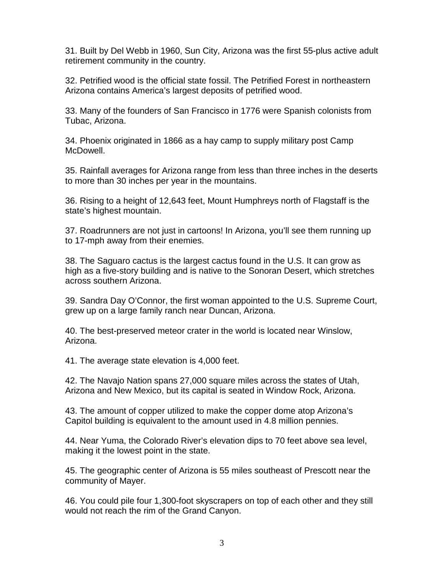31. Built by Del Webb in 1960, Sun City, Arizona was the first 55-plus active adult retirement community in the country.

32. Petrified wood is the official state fossil. The Petrified Forest in northeastern Arizona contains America's largest deposits of petrified wood.

33. Many of the founders of San Francisco in 1776 were Spanish colonists from Tubac, Arizona.

34. Phoenix originated in 1866 as a hay camp to supply military post Camp McDowell.

35. Rainfall averages for Arizona range from less than three inches in the deserts to more than 30 inches per year in the mountains.

36. Rising to a height of 12,643 feet, Mount Humphreys north of Flagstaff is the state's highest mountain.

37. Roadrunners are not just in cartoons! In Arizona, you'll see them running up to 17-mph away from their enemies.

38. The Saguaro cactus is the largest cactus found in the U.S. It can grow as high as a five-story building and is native to the Sonoran Desert, which stretches across southern Arizona.

39. Sandra Day O'Connor, the first woman appointed to the U.S. Supreme Court, grew up on a large family ranch near Duncan, Arizona.

40. The best-preserved meteor crater in the world is located near Winslow, Arizona.

41. The average state elevation is 4,000 feet.

42. The Navajo Nation spans 27,000 square miles across the states of Utah, Arizona and New Mexico, but its capital is seated in Window Rock, Arizona.

43. The amount of copper utilized to make the copper dome atop Arizona's Capitol building is equivalent to the amount used in 4.8 million pennies.

44. Near Yuma, the Colorado River's elevation dips to 70 feet above sea level, making it the lowest point in the state.

45. The geographic center of Arizona is 55 miles southeast of Prescott near the community of Mayer.

46. You could pile four 1,300-foot skyscrapers on top of each other and they still would not reach the rim of the Grand Canyon.